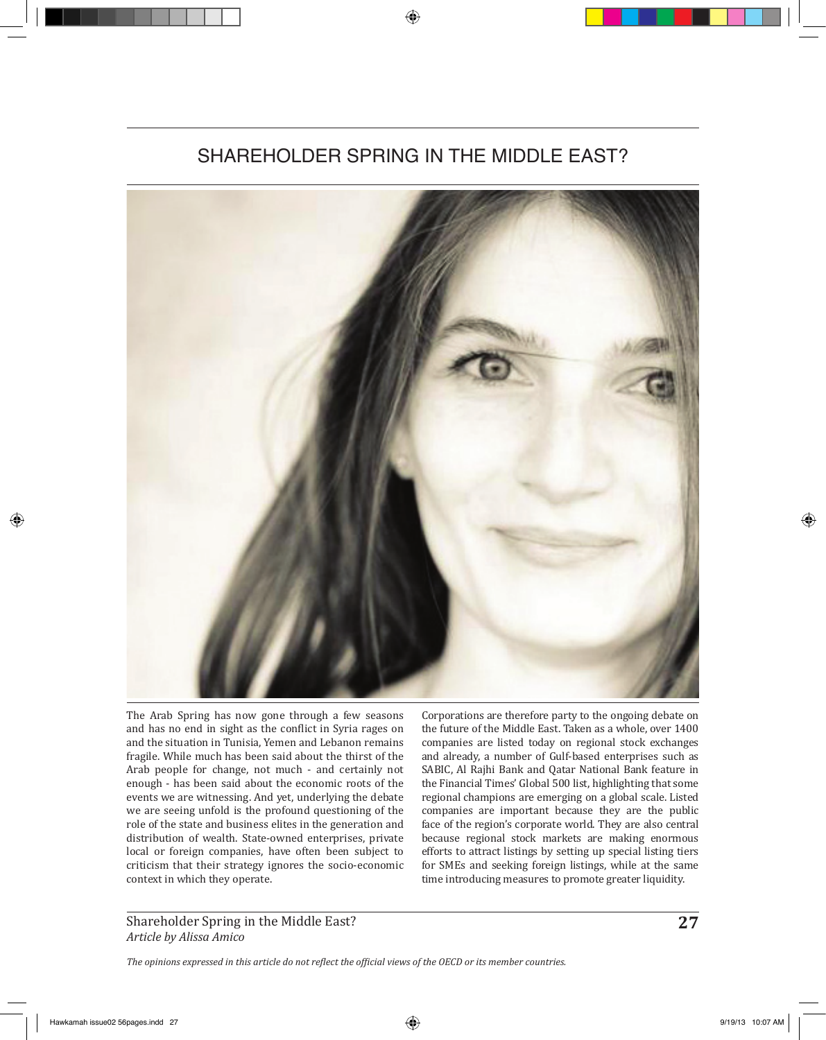## SHAREHOLDER SPRING IN THE MIDDLE FAST?



The Arab Spring has now gone through a few seasons and has no end in sight as the conflict in Syria rages on and the situation in Tunisia, Yemen and Lebanon remains fragile. While much has been said about the thirst of the Arab people for change, not much - and certainly not enough - has been said about the economic roots of the events we are witnessing. And yet, underlying the debate we are seeing unfold is the profound questioning of the role of the state and business elites in the generation and distribution of wealth. State-owned enterprises, private local or foreign companies, have often been subject to criticism that their strategy ignores the socio-economic context in which they operate.

Corporations are therefore party to the ongoing debate on the future of the Middle East. Taken as a whole, over 1400 companies are listed today on regional stock exchanges and already, a number of Gulf-based enterprises such as SABIC, Al Rajhi Bank and Qatar National Bank feature in the Financial Times' Global 500 list, highlighting that some regional champions are emerging on a global scale. Listed companies are important because they are the public face of the region's corporate world. They are also central because regional stock markets are making enormous efforts to attract listings by setting up special listing tiers for SMEs and seeking foreign listings, while at the same time introducing measures to promote greater liquidity.

Shareholder Spring in the Middle East? **27** *Article by Alissa Amico*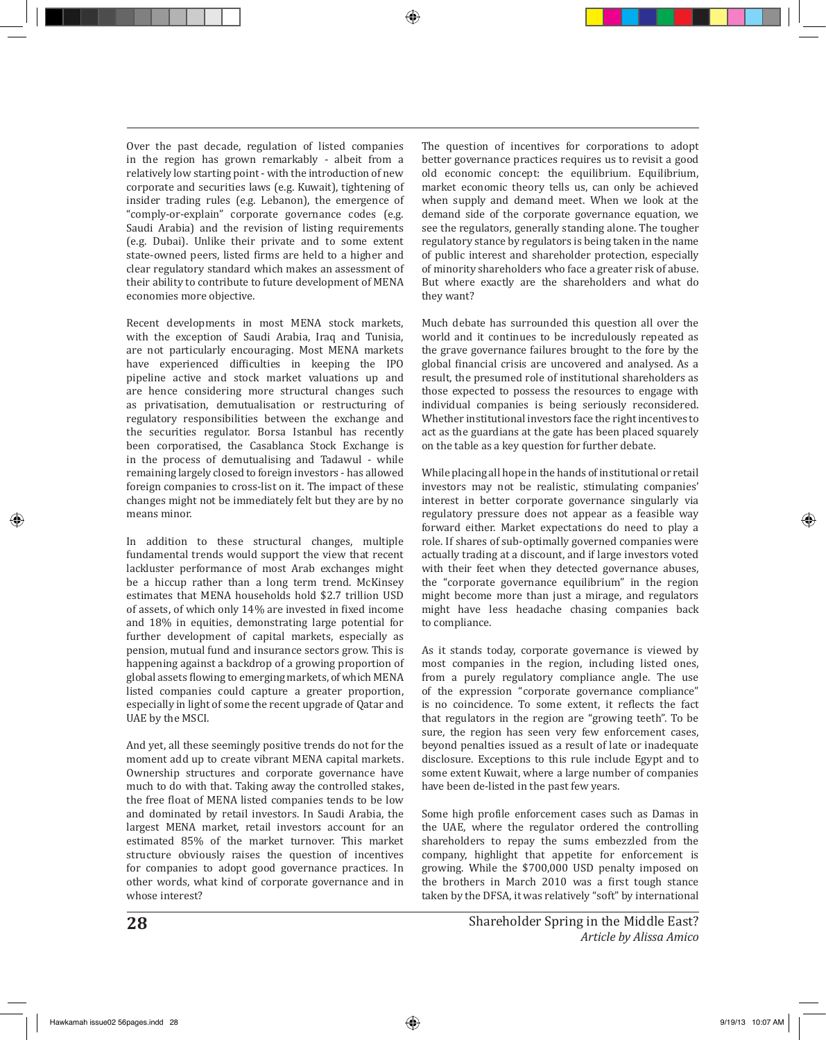Over the past decade, regulation of listed companies in the region has grown remarkably - albeit from a relatively low starting point - with the introduction of new corporate and securities laws (e.g. Kuwait), tightening of insider trading rules (e.g. Lebanon), the emergence of "comply-or-explain" corporate governance codes (e.g. Saudi Arabia) and the revision of listing requirements (e.g. Dubai). Unlike their private and to some extent state-owned peers, listed firms are held to a higher and clear regulatory standard which makes an assessment of their ability to contribute to future development of MENA economies more objective.

Recent developments in most MENA stock markets, with the exception of Saudi Arabia, Iraq and Tunisia, are not particularly encouraging. Most MENA markets have experienced difficulties in keeping the IPO pipeline active and stock market valuations up and are hence considering more structural changes such as privatisation, demutualisation or restructuring of regulatory responsibilities between the exchange and the securities regulator. Borsa Istanbul has recently been corporatised, the Casablanca Stock Exchange is in the process of demutualising and Tadawul - while remaining largely closed to foreign investors - has allowed foreign companies to cross-list on it. The impact of these changes might not be immediately felt but they are by no means minor.

In addition to these structural changes, multiple fundamental trends would support the view that recent lackluster performance of most Arab exchanges might be a hiccup rather than a long term trend. McKinsey estimates that MENA households hold \$2.7 trillion USD of assets, of which only 14% are invested in fixed income and 18% in equities, demonstrating large potential for further development of capital markets, especially as pension, mutual fund and insurance sectors grow. This is happening against a backdrop of a growing proportion of global assets flowing to emerging markets, of which MENA listed companies could capture a greater proportion, especially in light of some the recent upgrade of Qatar and UAE by the MSCI.

And yet, all these seemingly positive trends do not for the moment add up to create vibrant MENA capital markets. Ownership structures and corporate governance have much to do with that. Taking away the controlled stakes, the free float of MENA listed companies tends to be low and dominated by retail investors. In Saudi Arabia, the largest MENA market, retail investors account for an estimated 85% of the market turnover. This market structure obviously raises the question of incentives for companies to adopt good governance practices. In other words, what kind of corporate governance and in whose interest?

The question of incentives for corporations to adopt better governance practices requires us to revisit a good old economic concept: the equilibrium. Equilibrium, market economic theory tells us, can only be achieved when supply and demand meet. When we look at the demand side of the corporate governance equation, we see the regulators, generally standing alone. The tougher regulatory stance by regulators is being taken in the name of public interest and shareholder protection, especially of minority shareholders who face a greater risk of abuse. But where exactly are the shareholders and what do they want?

Much debate has surrounded this question all over the world and it continues to be incredulously repeated as the grave governance failures brought to the fore by the global financial crisis are uncovered and analysed. As a result, the presumed role of institutional shareholders as those expected to possess the resources to engage with individual companies is being seriously reconsidered. Whether institutional investors face the right incentives to act as the guardians at the gate has been placed squarely on the table as a key question for further debate.

While placing all hope in the hands of institutional or retail investors may not be realistic, stimulating companies' interest in better corporate governance singularly via regulatory pressure does not appear as a feasible way forward either. Market expectations do need to play a role. If shares of sub-optimally governed companies were actually trading at a discount, and if large investors voted with their feet when they detected governance abuses, the "corporate governance equilibrium" in the region might become more than just a mirage, and regulators might have less headache chasing companies back to compliance.

As it stands today, corporate governance is viewed by most companies in the region, including listed ones, from a purely regulatory compliance angle. The use of the expression "corporate governance compliance" is no coincidence. To some extent, it reflects the fact that regulators in the region are "growing teeth". To be sure, the region has seen very few enforcement cases, beyond penalties issued as a result of late or inadequate disclosure. Exceptions to this rule include Egypt and to some extent Kuwait, where a large number of companies have been de-listed in the past few years.

Some high profile enforcement cases such as Damas in the UAE, where the regulator ordered the controlling shareholders to repay the sums embezzled from the company, highlight that appetite for enforcement is growing. While the \$700,000 USD penalty imposed on the brothers in March 2010 was a first tough stance taken by the DFSA, it was relatively "soft" by international